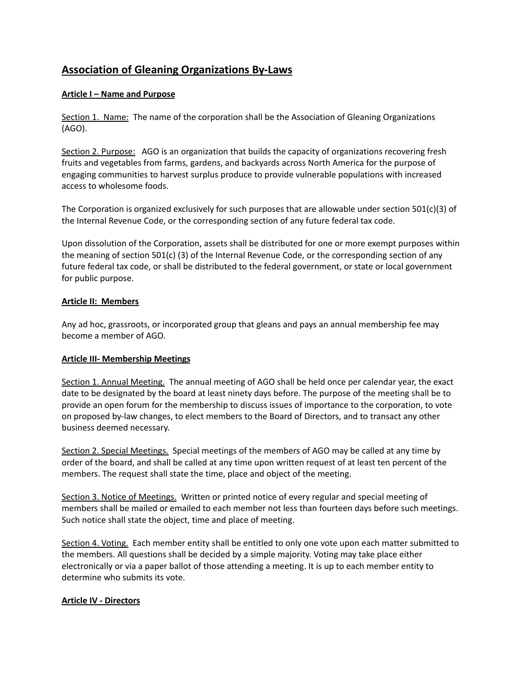# **Association of Gleaning Organizations By-Laws**

## **Article I – Name and Purpose**

Section 1. Name: The name of the corporation shall be the Association of Gleaning Organizations (AGO).

Section 2. Purpose: AGO is an organization that builds the capacity of organizations recovering fresh fruits and vegetables from farms, gardens, and backyards across North America for the purpose of engaging communities to harvest surplus produce to provide vulnerable populations with increased access to wholesome foods.

The Corporation is organized exclusively for such purposes that are allowable under section  $501(c)(3)$  of the Internal Revenue Code, or the corresponding section of any future federal tax code.

Upon dissolution of the Corporation, assets shall be distributed for one or more exempt purposes within the meaning of section 501(c) (3) of the Internal Revenue Code, or the corresponding section of any future federal tax code, or shall be distributed to the federal government, or state or local government for public purpose.

#### **Article II: Members**

Any ad hoc, grassroots, or incorporated group that gleans and pays an annual membership fee may become a member of AGO.

#### **Article III- Membership Meetings**

Section 1. Annual Meeting. The annual meeting of AGO shall be held once per calendar year, the exact date to be designated by the board at least ninety days before. The purpose of the meeting shall be to provide an open forum for the membership to discuss issues of importance to the corporation, to vote on proposed by-law changes, to elect members to the Board of Directors, and to transact any other business deemed necessary.

Section 2. Special Meetings. Special meetings of the members of AGO may be called at any time by order of the board, and shall be called at any time upon written request of at least ten percent of the members. The request shall state the time, place and object of the meeting.

Section 3. Notice of Meetings. Written or printed notice of every regular and special meeting of members shall be mailed or emailed to each member not less than fourteen days before such meetings. Such notice shall state the object, time and place of meeting.

Section 4. Voting. Each member entity shall be entitled to only one vote upon each matter submitted to the members. All questions shall be decided by a simple majority. Voting may take place either electronically or via a paper ballot of those attending a meeting. It is up to each member entity to determine who submits its vote.

#### **Article IV - Directors**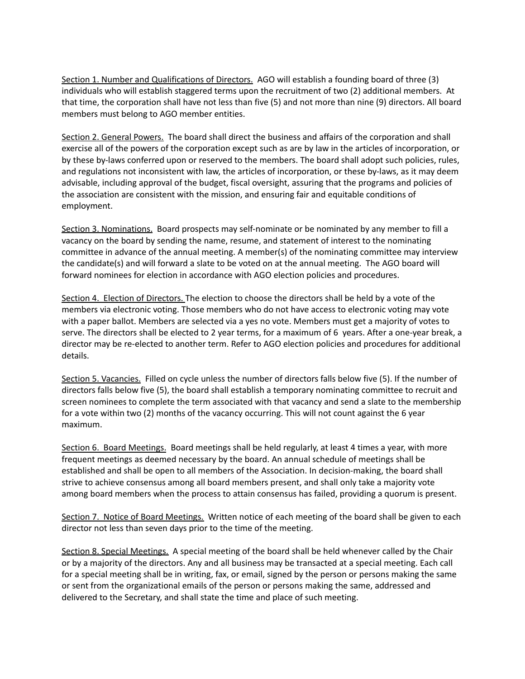Section 1. Number and Qualifications of Directors. AGO will establish a founding board of three (3) individuals who will establish staggered terms upon the recruitment of two (2) additional members. At that time, the corporation shall have not less than five (5) and not more than nine (9) directors. All board members must belong to AGO member entities.

Section 2. General Powers. The board shall direct the business and affairs of the corporation and shall exercise all of the powers of the corporation except such as are by law in the articles of incorporation, or by these by-laws conferred upon or reserved to the members. The board shall adopt such policies, rules, and regulations not inconsistent with law, the articles of incorporation, or these by-laws, as it may deem advisable, including approval of the budget, fiscal oversight, assuring that the programs and policies of the association are consistent with the mission, and ensuring fair and equitable conditions of employment.

Section 3. Nominations. Board prospects may self-nominate or be nominated by any member to fill a vacancy on the board by sending the name, resume, and statement of interest to the nominating committee in advance of the annual meeting. A member(s) of the nominating committee may interview the candidate(s) and will forward a slate to be voted on at the annual meeting. The AGO board will forward nominees for election in accordance with AGO election policies and procedures.

Section 4. Election of Directors. The election to choose the directors shall be held by a vote of the members via electronic voting. Those members who do not have access to electronic voting may vote with a paper ballot. Members are selected via a yes no vote. Members must get a majority of votes to serve. The directors shall be elected to 2 year terms, for a maximum of 6 years. After a one-year break, a director may be re-elected to another term. Refer to AGO election policies and procedures for additional details.

Section 5. Vacancies. Filled on cycle unless the number of directors falls below five (5). If the number of directors falls below five (5), the board shall establish a temporary nominating committee to recruit and screen nominees to complete the term associated with that vacancy and send a slate to the membership for a vote within two (2) months of the vacancy occurring. This will not count against the 6 year maximum.

Section 6. Board Meetings. Board meetings shall be held regularly, at least 4 times a year, with more frequent meetings as deemed necessary by the board. An annual schedule of meetings shall be established and shall be open to all members of the Association. In decision-making, the board shall strive to achieve consensus among all board members present, and shall only take a majority vote among board members when the process to attain consensus has failed, providing a quorum is present.

Section 7. Notice of Board Meetings. Written notice of each meeting of the board shall be given to each director not less than seven days prior to the time of the meeting.

Section 8. Special Meetings. A special meeting of the board shall be held whenever called by the Chair or by a majority of the directors. Any and all business may be transacted at a special meeting. Each call for a special meeting shall be in writing, fax, or email, signed by the person or persons making the same or sent from the organizational emails of the person or persons making the same, addressed and delivered to the Secretary, and shall state the time and place of such meeting.